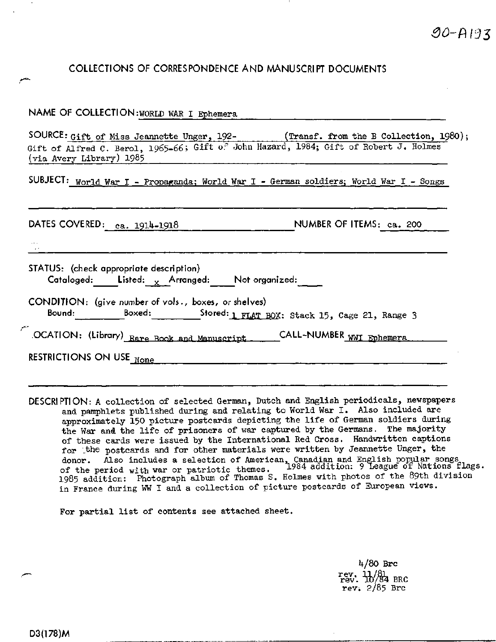## **COLLECTIONS OF CORRESPONDENCE AND MANUSCRIPT DOCUMENTS**

| NAME OF COLLECTION: WORLD WAR I Ephemera                                                                                                                                                               |
|--------------------------------------------------------------------------------------------------------------------------------------------------------------------------------------------------------|
| SOURCE: Gift of Miss Jeannette Unger, 192- (Transf. from the B Collection, 1980);<br>Gift of Alfred C. Berol, 1965-66; Gift of John Hazard, 1984; Gift of Robert J. Holmes<br>(via Avery Library) 1985 |
| SUBJECT: World War I - Propaganda; World War I - German soldiers; World War I - Songs                                                                                                                  |
| DATES COVERED: ca. 1914-1918<br>NUMBER OF ITEMS: ca. 200                                                                                                                                               |
| STATUS: (check appropriate description)<br>Cataloged: Listed: $\mathbf{x}$ Arranged: Not organized:                                                                                                    |
| CONDITION: (give number of vols., boxes, or shelves)<br>Bound: Boxed: 51 Stored: 1 FLAT BOX: Stack 15, Cage 21, Range 3                                                                                |
| OCATION: (Library) Rare Book and Manuscript ______CALL-NUMBER WWI Ephemera                                                                                                                             |
| RESTRICTIONS ON USE None                                                                                                                                                                               |

DESCRIPTION: A collection of selected German, Dutch and English periodicals, newspapers and pamphlets published during and relating to World War I. Also included are approximately 150 picture postcards depicting the life of German soldiers during the War and the life of prisoners of war captured by the Germans. The majority of these cards were issued by the International Red Cross. Handwritten captions for the postcards and for other materials were written by Jeannette Unger, the donor. Also includes a selection of American, Canadian and English popular songs of the period with war or patriotic themes. 1984 addition: 9 league of Nations flags, of the period with war or patriotic themes. I984 addition: 9 League of Nations flag<br>1985 addition: Photograph album of Thomas S. Holmes with photos of the 89th division in France during WW I and a collection of picture postcards of European views.

For partial list of contents see attached sheet.

**h/QO Brc** rev.  $\frac{1}{10}$ /84 BRC rev. 2/85 Brc